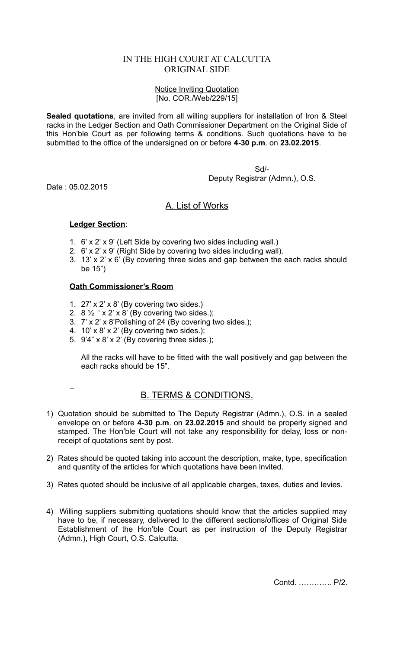## IN THE HIGH COURT AT CALCUTTA ORIGINAL SIDE

#### Notice Inviting Quotation [No. COR./Web/229/15]

**Sealed quotations**, are invited from all willing suppliers for installation of Iron & Steel racks in the Ledger Section and Oath Commissioner Department on the Original Side of this Hon'ble Court as per following terms & conditions. Such quotations have to be submitted to the office of the undersigned on or before **4-30 p.m**. on **23.02.2015**.

> Sd/- Deputy Registrar (Admn.), O.S.

Date : 05.02.2015

# A. List of Works

### **Ledger Section**:

- 1. 6' x 2' x 9' (Left Side by covering two sides including wall.)
- 2. 6' x 2' x 9' (Right Side by covering two sides including wall).
- 3. 13' x 2' x 6' (By covering three sides and gap between the each racks should be 15")

### **Oath Commissioner's Room**

- 1. 27' x 2' x 8' (By covering two sides.)
- 2.  $8\frac{1}{2}$  ' x 2' x 8' (By covering two sides.);
- 3. 7' x 2' x 8'Polishing of 24 (By covering two sides.);
- 4.  $10' \times 8' \times 2'$  (By covering two sides.);
- 5. 9'4" x 8' x 2' (By covering three sides.);

All the racks will have to be fitted with the wall positively and gap between the each racks should be 15".

 $\overline{a}$ 

## B. TERMS & CONDITIONS.

- 1) Quotation should be submitted to The Deputy Registrar (Admn.), O.S. in a sealed envelope on or before **4-30 p.m**. on **23.02.2015** and should be properly signed and stamped. The Hon'ble Court will not take any responsibility for delay, loss or nonreceipt of quotations sent by post.
- 2) Rates should be quoted taking into account the description, make, type, specification and quantity of the articles for which quotations have been invited.
- 3) Rates quoted should be inclusive of all applicable charges, taxes, duties and levies.
- 4) Willing suppliers submitting quotations should know that the articles supplied may have to be, if necessary, delivered to the different sections/offices of Original Side Establishment of the Hon'ble Court as per instruction of the Deputy Registrar (Admn.), High Court, O.S. Calcutta.

Contd. …………. P/2.